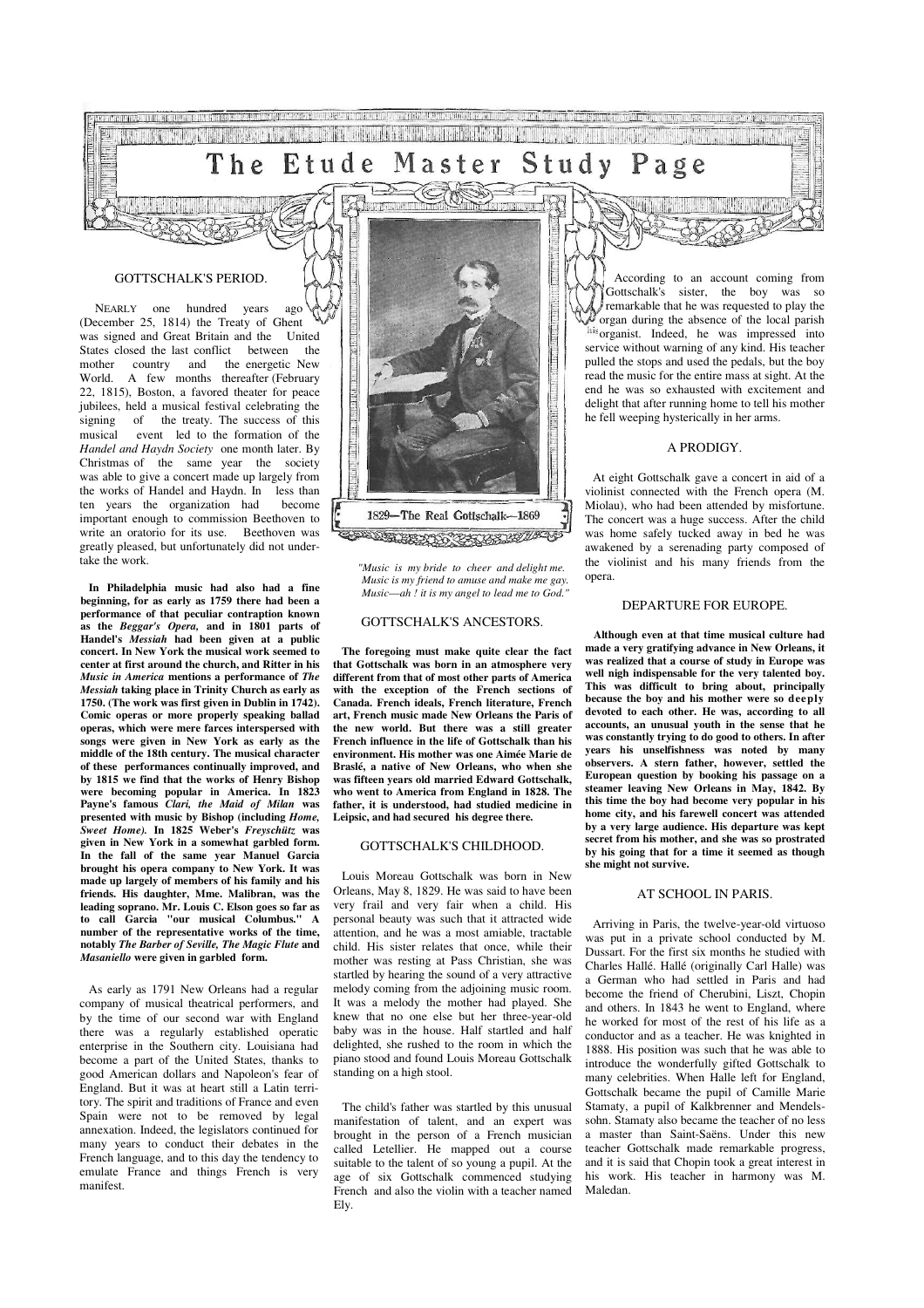#### Study Etude Master age The P

that it is been a comparable to the attendant of the attendant of the comparable

area di Parti di Liberto dell'Interno ad India

**THE REAL PROPERTY OF PRINT** 

a her digital description of the party of the second line

#### GOTTSCHALK'S PERIOD.

THE RETURNED OF

 NEARLY one hundred years ago (December 25, 1814) the Treaty of Ghent was signed and Great Britain and the United<br>States closed the last conflict between the States closed the last conflict between mother country and the energetic New World. A few months thereafter (February 22, 1815), Boston, a favored theater for peace jubilees, held a musical festival celebrating the signing of the treaty. The success of this<br>musical event led to the formation of the event led to the formation of the *Handel and Haydn Society* one month later. By Christmas of the same year the society was able to give a concert made up largely from the works of Handel and Haydn. In less than ten years the organization had become important enough to commission Beethoven to write an oratorio for its use. Beethoven was greatly pleased, but unfortunately did not undertake the work.

**In Philadelphia music had also had a fine beginning, for as early as 1759 there had been a performance of that peculiar contraption known as the** *Beggar's Opera,* **and in 1801 parts of Handel's** *Messiah* **had been given at a public concert. In New York the musical work seemed to center at first around the church, and Ritter in his**  *Music in America* **mentions a performance of** *The Messiah* **taking place in Trinity Church as early as 1750. (The work was first given in Dublin in 1742). Comic operas or more properly speaking ballad operas, which were mere farces interspersed with songs were given in New York as early as the middle of the 18th century. The musical character of these performances continually improved, and by 1815 we find that the works of Henry Bishop were becoming popular in America. In 1823 Payne's famous** *Clari, the Maid of Milan* **was presented with music by Bishop (including** *Home, Sweet Home).* **In 1825 Weber's** *Freyschütz* **was given in New York in a somewhat garbled form. In the fall of the same year Manuel Garcia brought his opera company to New York. It was made up largely of members of his family and his friends. His daughter, Mme. Malibran, was the leading soprano. Mr. Louis C. Elson goes so far as to call Garcia "our musical Columbus." A number of the representative works of the time, notably** *The Barber of Seville, The Magic Flute* **and**  *Masaniello* **were given in garbled form.** 

As early as 1791 New Orleans had a regular company of musical theatrical performers, and by the time of our second war with England there was a regularly established operatic enterprise in the Southern city. Louisiana had become a part of the United States, thanks to good American dollars and Napoleon's fear of England. But it was at heart still a Latin territory. The spirit and traditions of France and even Spain were not to be removed by legal annexation. Indeed, the legislators continued for many years to conduct their debates in the French language, and to this day the tendency to emulate France and things French is very manifest.



*"Music is my bride to cheer and delight me. Music is my friend to amuse and make me gay. Music*—*ah ! it is my angel to lead me to God."*

## GOTTSCHALK'S ANCESTORS.

**The foregoing must make quite clear the fact that Gottschalk was born in an atmosphere very different from that of most other parts of America with the exception of the French sections of Canada. French ideals, French literature, French art, French music made New Orleans the Paris of the new world. But there was a still greater French influence in the life of Gottschalk than his environment. His mother was one Aimée Marie de Braslé, a native of New Orleans, who when she was fifteen years old married Edward Gottschalk, who went to America from England in 1828. The father, it is understood, had studied medicine in Leipsic, and had secured his degree there.** 

#### GOTTSCHALK'S CHILDHOOD.

Louis Moreau Gottschalk was born in New Orleans, May 8, 1829. He was said to have been very frail and very fair when a child. His personal beauty was such that it attracted wide attention, and he was a most amiable, tractable child. His sister relates that once, while their mother was resting at Pass Christian, she was startled by hearing the sound of a very attractive melody coming from the adjoining music room. It was a melody the mother had played. She knew that no one else but her three-year-old baby was in the house. Half startled and half delighted, she rushed to the room in which the piano stood and found Louis Moreau Gottschalk standing on a high stool.

The child's father was startled by this unusual manifestation of talent, and an expert was brought in the person of a French musician called Letellier. He mapped out a course suitable to the talent of so young a pupil. At the age of six Gottschalk commenced studying French and also the violin with a teacher named Ely.

According to an account coming from Gottschalk's sister, the boy was so remarkable that he was requested to play the organ during the absence of the local parish his organist. Indeed, he was impressed into service without warning of any kind. His teacher pulled the stops and used the pedals, but the boy read the music for the entire mass at sight. At the end he was so exhausted with excitement and delight that after running home to tell his mother he fell weeping hysterically in her arms.

#### A PRODIGY.

At eight Gottschalk gave a concert in aid of a violinist connected with the French opera (M. Miolau), who had been attended by misfortune. The concert was a huge success. After the child was home safely tucked away in bed he was awakened by a serenading party composed of the violinist and his many friends from the opera.

## DEPARTURE FOR EUROPE.

**Although even at that time musical culture had made a very gratifying advance in New Orleans, it was realized that a course of study in Europe was well nigh indispensable for the very talented boy. This was difficult to bring about, principally because the boy and his mother were so deeply devoted to each other. He was, according to all accounts, an unusual youth in the sense that he was constantly trying to do good to others. In after years his unselfishness was noted by many observers. A stern father, however, settled the European question by booking his passage on a steamer leaving New Orleans in May, 1842. By this time the boy had become very popular in his home city, and his farewell concert was attended by a very large audience. His departure was kept secret from his mother, and she was so prostrated by his going that for a time it seemed as though she might not survive.** 

#### AT SCHOOL IN PARIS.

Arriving in Paris, the twelve-year-old virtuoso was put in a private school conducted by M. Dussart. For the first six months he studied with Charles Hallé. Hallé (originally Carl Halle) was a German who had settled in Paris and had become the friend of Cherubini, Liszt, Chopin and others. In 1843 he went to England, where he worked for most of the rest of his life as a conductor and as a teacher. He was knighted in 1888. His position was such that he was able to introduce the wonderfully gifted Gottschalk to many celebrities. When Halle left for England, Gottschalk became the pupil of Camille Marie Stamaty, a pupil of Kalkbrenner and Mendelssohn. Stamaty also became the teacher of no less a master than Saint-Saëns. Under this new teacher Gottschalk made remarkable progress, and it is said that Chopin took a great interest in his work. His teacher in harmony was M. Maledan.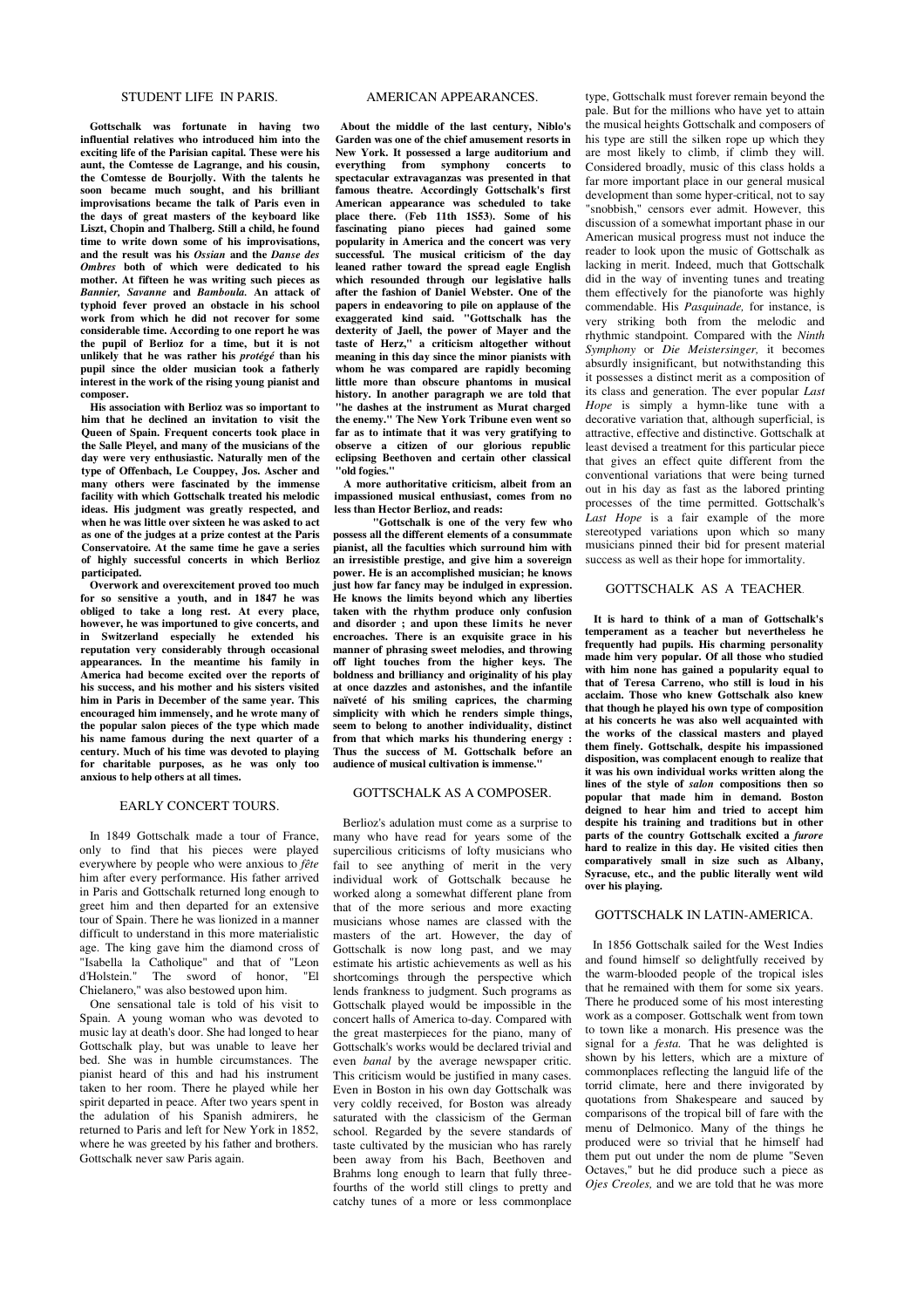## STUDENT LIFE IN PARIS.

**Gottschalk was fortunate in having two influential relatives who introduced him into the exciting life of the Parisian capital. These were his aunt, the Comtesse de Lagrange, and his cousin, the Comtesse de Bourjolly. With the talents he soon became much sought, and his brilliant improvisations became the talk of Paris even in the days of great masters of the keyboard like Liszt, Chopin and Thalberg. Still a child, he found time to write down some of his improvisations, and the result was his** *Ossian* **and the** *Danse des Ombres* **both of which were dedicated to his mother. At fifteen he was writing such pieces as**  *Bannier, Savanne* **and** *Bamboula.* **An attack of typhoid fever proved an obstacle in his school work from which he did not recover for some considerable time. According to one report he was the pupil of Berlioz for a time, but it is not unlikely that he was rather his** *protégé* **than his pupil since the older musician took a fatherly interest in the work of the rising young pianist and composer.** 

**His association with Berlioz was so important to him that he declined an invitation to visit the Queen of Spain. Frequent concerts took place in the Salle Pleyel, and many of the musicians of the day were very enthusiastic. Naturally men of the type of Offenbach, Le Couppey, Jos. Ascher and many others were fascinated by the immense facility with which Gottschalk treated his melodic ideas. His judgment was greatly respected, and when he was little over sixteen he was asked to act as one of the judges at a prize contest at the Paris Conservatoire. At the same time he gave a series of highly successful concerts in which Berlioz participated.** 

**Overwork and overexcitement proved too much for so sensitive a youth, and in 1847 he was obliged to take a long rest. At every place, however, he was importuned to give concerts, and in Switzerland especially he extended his reputation very considerably through occasional appearances. In the meantime his family in America had become excited over the reports of his success, and his mother and his sisters visited him in Paris in December of the same year. This encouraged him immensely, and he wrote many of the popular salon pieces of the type which made his name famous during the next quarter of a century. Much of his time was devoted to playing for charitable purposes, as he was only too anxious to help others at all times.** 

#### EARLY CONCERT TOURS.

In 1849 Gottschalk made a tour of France, only to find that his pieces were played everywhere by people who were anxious to *fête*  him after every performance. His father arrived in Paris and Gottschalk returned long enough to greet him and then departed for an extensive tour of Spain. There he was lionized in a manner difficult to understand in this more materialistic age. The king gave him the diamond cross of "Isabella la Catholique" and that of "Leon d'Holstein." The sword of honor, Chielanero," was also bestowed upon him.

One sensational tale is told of his visit to Spain. A young woman who was devoted to music lay at death's door. She had longed to hear Gottschalk play, but was unable to leave her bed. She was in humble circumstances. The pianist heard of this and had his instrument taken to her room. There he played while her spirit departed in peace. After two years spent in the adulation of his Spanish admirers, he returned to Paris and left for New York in 1852, where he was greeted by his father and brothers. Gottschalk never saw Paris again.

#### AMERICAN APPEARANCES.

**About the middle of the last century, Niblo's Garden was one of the chief amusement resorts in New York. It possessed a large auditorium and everything from symphony concerts to spectacular extravaganzas was presented in that famous theatre. Accordingly Gottschalk's first American appearance was scheduled to take place there. (Feb 11th 1S53). Some of his fascinating piano pieces had gained some popularity in America and the concert was very successful. The musical criticism of the day leaned rather toward the spread eagle English which resounded through our legislative halls after the fashion of Daniel Webster. One of the papers in endeavoring to pile on applause of the exaggerated kind said. "Gottschalk has the dexterity of Jaell, the power of Mayer and the taste of Herz," a criticism altogether without meaning in this day since the minor pianists with whom he was compared are rapidly becoming little more than obscure phantoms in musical history. In another paragraph we are told that "he dashes at the instrument as Murat charged the enemy." The New York Tribune even went so far as to intimate that it was very gratifying to observe a citizen of our glorious republic eclipsing Beethoven and certain other classical "old fogies."**

**A more authoritative criticism, albeit from an impassioned musical enthusiast, comes from no less than Hector Berlioz, and reads:**

**"Gottschalk is one of the very few who possess all the different elements of a consummate pianist, all the faculties which surround him with an irresistible prestige, and give him a sovereign power. He is an accomplished musician; he knows just how far fancy may be indulged in expression. He knows the limits beyond which any liberties taken with the rhythm produce only confusion and disorder ; and upon these limits he never encroaches. There is an exquisite grace in his manner of phrasing sweet melodies, and throwing off light touches from the higher keys. The boldness and brilliancy and originality of his play at once dazzles and astonishes, and the infantile naïveté of his smiling caprices, the charming simplicity with which he renders simple things, seem to belong to another individuality, distinct from that which marks his thundering energy : Thus the success of M. Gottschalk before an audience of musical cultivation is immense."** 

## GOTTSCHALK AS A COMPOSER.

Berlioz's adulation must come as a surprise to many who have read for years some of the supercilious criticisms of lofty musicians who fail to see anything of merit in the very individual work of Gottschalk because he worked along a somewhat different plane from that of the more serious and more exacting musicians whose names are classed with the masters of the art. However, the day of Gottschalk is now long past, and we may estimate his artistic achievements as well as his shortcomings through the perspective which lends frankness to judgment. Such programs as Gottschalk played would be impossible in the concert halls of America to-day. Compared with the great masterpieces for the piano, many of Gottschalk's works would be declared trivial and even *banal* by the average newspaper critic. This criticism would be justified in many cases. Even in Boston in his own day Gottschalk was very coldly received, for Boston was already saturated with the classicism of the German school. Regarded by the severe standards of taste cultivated by the musician who has rarely been away from his Bach, Beethoven and Brahms long enough to learn that fully threefourths of the world still clings to pretty and catchy tunes of a more or less commonplace

type, Gottschalk must forever remain beyond the pale. But for the millions who have yet to attain the musical heights Gottschalk and composers of his type are still the silken rope up which they are most likely to climb, if climb they will. Considered broadly, music of this class holds a far more important place in our general musical development than some hyper-critical, not to say "snobbish," censors ever admit. However, this discussion of a somewhat important phase in our American musical progress must not induce the reader to look upon the music of Gottschalk as lacking in merit. Indeed, much that Gottschalk did in the way of inventing tunes and treating them effectively for the pianoforte was highly commendable. His *Pasquinade,* for instance, is very striking both from the melodic and rhythmic standpoint. Compared with the *Ninth Symphony* or *Die Meistersinger,* it becomes absurdly insignificant, but notwithstanding this it possesses a distinct merit as a composition of its class and generation. The ever popular *Last Hope* is simply a hymn-like tune with a decorative variation that, although superficial, is attractive, effective and distinctive. Gottschalk at least devised a treatment for this particular piece that gives an effect quite different from the conventional variations that were being turned out in his day as fast as the labored printing processes of the time permitted. Gottschalk's *Last Hope* is a fair example of the more stereotyped variations upon which so many musicians pinned their bid for present material success as well as their hope for immortality.

## GOTTSCHALK AS A TEACHER.

**It is hard to think of a man of Gottschalk's temperament as a teacher but nevertheless he frequently had pupils. His charming personality made him very popular. Of all those who studied with him none has gained a popularity equal to that of Teresa Carreno, who still is loud in his acclaim. Those who knew Gottschalk also knew that though he played his own type of composition at his concerts he was also well acquainted with the works of the classical masters and played them finely. Gottschalk, despite his impassioned disposition, was complacent enough to realize that it was his own individual works written along the lines of the style of** *salon* **compositions then so popular that made him in demand. Boston deigned to hear him and tried to accept him despite his training and traditions but in other parts of the country Gottschalk excited a** *furore*  **hard to realize in this day. He visited cities then comparatively small in size such as Albany, Syracuse, etc., and the public literally went wild over his playing.**

#### GOTTSCHALK IN LATIN-AMERICA.

In 1856 Gottschalk sailed for the West Indies and found himself so delightfully received by the warm-blooded people of the tropical isles that he remained with them for some six years. There he produced some of his most interesting work as a composer. Gottschalk went from town to town like a monarch. His presence was the signal for a *festa.* That he was delighted is shown by his letters, which are a mixture of commonplaces reflecting the languid life of the torrid climate, here and there invigorated by quotations from Shakespeare and sauced by comparisons of the tropical bill of fare with the menu of Delmonico. Many of the things he produced were so trivial that he himself had them put out under the nom de plume "Seven Octaves," but he did produce such a piece as *Ojes Creoles,* and we are told that he was more